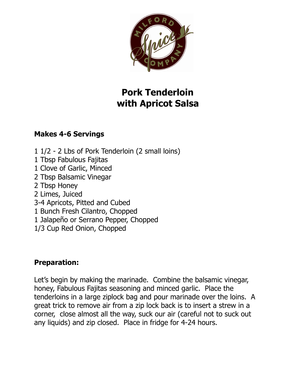

## **Pork Tenderloin with Apricot Salsa**

## **Makes 4-6 Servings**

1 1/2 - 2 Lbs of Pork Tenderloin (2 small loins) 1 Tbsp Fabulous Fajitas 1 Clove of Garlic, Minced 2 Tbsp Balsamic Vinegar 2 Tbsp Honey 2 Limes, Juiced 3-4 Apricots, Pitted and Cubed 1 Bunch Fresh Cilantro, Chopped 1 Jalapeño or Serrano Pepper, Chopped 1/3 Cup Red Onion, Chopped

## **Preparation:**

Let's begin by making the marinade. Combine the balsamic vinegar, honey, Fabulous Fajitas seasoning and minced garlic. Place the tenderloins in a large ziplock bag and pour marinade over the loins. A great trick to remove air from a zip lock back is to insert a strew in a corner, close almost all the way, suck our air (careful not to suck out any liquids) and zip closed. Place in fridge for 4-24 hours.